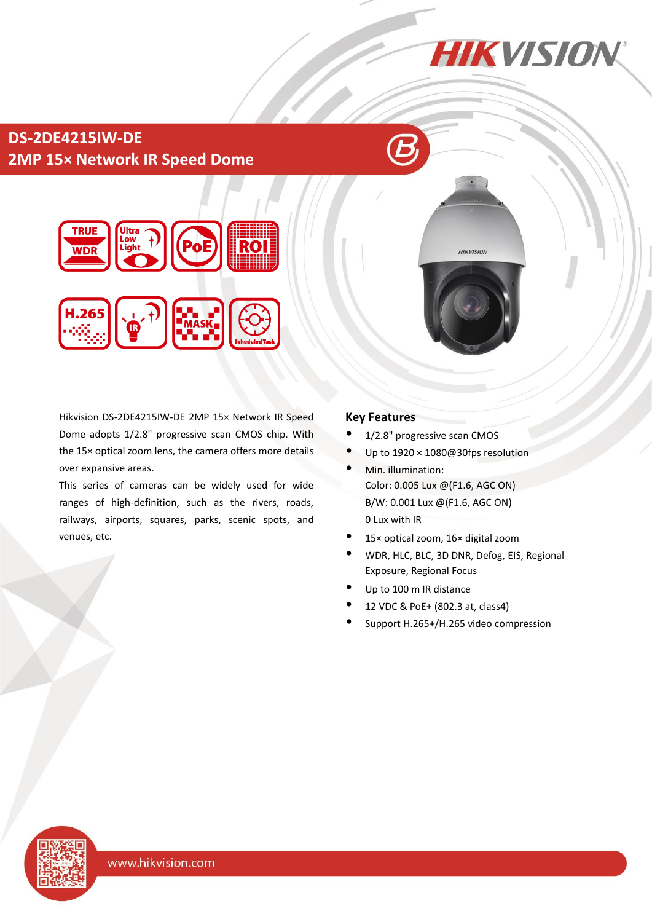# **DS-2DE4215IW-DE 2MP 15× Network IR Speed Dome**



Hikvision DS-2DE4215IW-DE 2MP 15× Network IR Speed Dome adopts 1/2.8" progressive scan CMOS chip. With the 15× optical zoom lens, the camera offers more details over expansive areas.

This series of cameras can be widely used for wide ranges of high-definition, such as the rivers, roads, railways, airports, squares, parks, scenic spots, and venues, etc.

#### **Key Features**

- 1/2.8" progressive scan CMOS
- Up to 1920 × 1080@30fps resolution

**HIKVISION** 

**HIKVISION** 

- Min. illumination: Color: 0.005 Lux @(F1.6, AGC ON) B/W: 0.001 Lux @(F1.6, AGC ON) 0 Lux with IR
- 15× optical zoom, 16× digital zoom
- WDR, HLC, BLC, 3D DNR, Defog, EIS, Regional Exposure, Regional Focus
- Up to 100 m IR distance
- 12 VDC & PoE+ (802.3 at, class4)
- Support H.265+/H.265 video compression

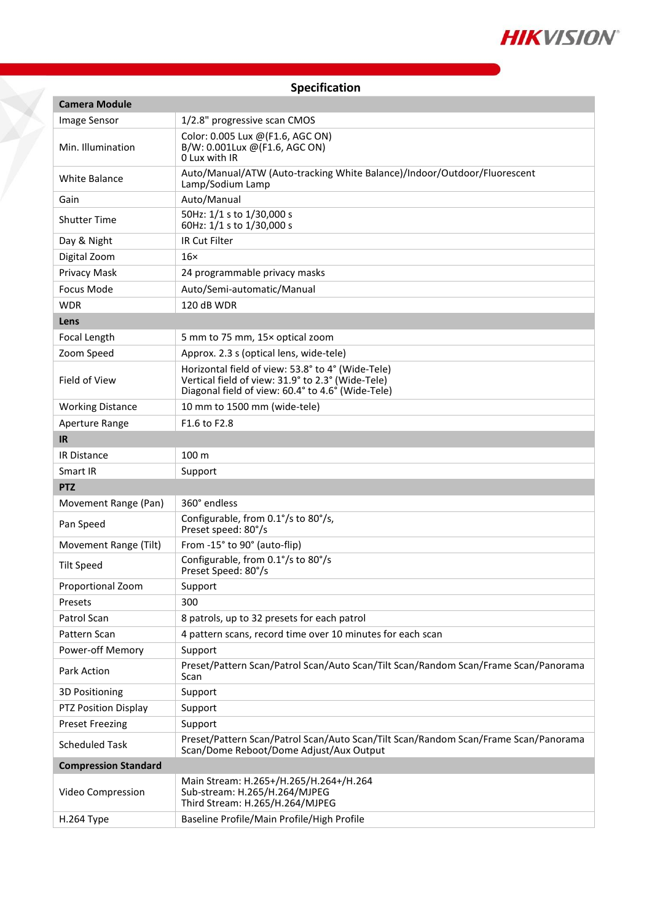

Ÿ

| <b>Camera Module</b>        |                                                                                                                                                             |  |  |  |
|-----------------------------|-------------------------------------------------------------------------------------------------------------------------------------------------------------|--|--|--|
| Image Sensor                | 1/2.8" progressive scan CMOS                                                                                                                                |  |  |  |
| Min. Illumination           | Color: 0.005 Lux @(F1.6, AGC ON)<br>B/W: 0.001Lux @(F1.6, AGC ON)<br>0 Lux with IR                                                                          |  |  |  |
| <b>White Balance</b>        | Auto/Manual/ATW (Auto-tracking White Balance)/Indoor/Outdoor/Fluorescent<br>Lamp/Sodium Lamp                                                                |  |  |  |
| Gain                        | Auto/Manual                                                                                                                                                 |  |  |  |
| <b>Shutter Time</b>         | 50Hz: 1/1 s to 1/30,000 s<br>60Hz: 1/1 s to 1/30,000 s                                                                                                      |  |  |  |
| Day & Night                 | <b>IR Cut Filter</b>                                                                                                                                        |  |  |  |
| Digital Zoom                | $16\times$                                                                                                                                                  |  |  |  |
| Privacy Mask                | 24 programmable privacy masks                                                                                                                               |  |  |  |
| <b>Focus Mode</b>           | Auto/Semi-automatic/Manual                                                                                                                                  |  |  |  |
| <b>WDR</b>                  | 120 dB WDR                                                                                                                                                  |  |  |  |
| Lens                        |                                                                                                                                                             |  |  |  |
| Focal Length                | 5 mm to 75 mm, 15x optical zoom                                                                                                                             |  |  |  |
| Zoom Speed                  | Approx. 2.3 s (optical lens, wide-tele)                                                                                                                     |  |  |  |
| Field of View               | Horizontal field of view: 53.8° to 4° (Wide-Tele)<br>Vertical field of view: 31.9° to 2.3° (Wide-Tele)<br>Diagonal field of view: 60.4° to 4.6° (Wide-Tele) |  |  |  |
| <b>Working Distance</b>     | 10 mm to 1500 mm (wide-tele)                                                                                                                                |  |  |  |
| Aperture Range<br><b>IR</b> | F <sub>1.6</sub> to F <sub>2.8</sub>                                                                                                                        |  |  |  |
| <b>IR Distance</b>          | 100 m                                                                                                                                                       |  |  |  |
| Smart IR                    | Support                                                                                                                                                     |  |  |  |
| <b>PTZ</b>                  |                                                                                                                                                             |  |  |  |
| Movement Range (Pan)        | 360° endless                                                                                                                                                |  |  |  |
| Pan Speed                   | Configurable, from 0.1°/s to 80°/s,<br>Preset speed: 80°/s                                                                                                  |  |  |  |
| Movement Range (Tilt)       | From -15° to 90° (auto-flip)                                                                                                                                |  |  |  |
| <b>Tilt Speed</b>           | Configurable, from 0.1°/s to 80°/s<br>Preset Speed: 80°/s                                                                                                   |  |  |  |
| Proportional Zoom           | Support                                                                                                                                                     |  |  |  |
| Presets                     | 300                                                                                                                                                         |  |  |  |
| Patrol Scan                 | 8 patrols, up to 32 presets for each patrol                                                                                                                 |  |  |  |
| Pattern Scan                | 4 pattern scans, record time over 10 minutes for each scan                                                                                                  |  |  |  |
| Power-off Memory            | Support                                                                                                                                                     |  |  |  |
| Park Action                 | Preset/Pattern Scan/Patrol Scan/Auto Scan/Tilt Scan/Random Scan/Frame Scan/Panorama<br>Scan                                                                 |  |  |  |
| <b>3D Positioning</b>       | Support                                                                                                                                                     |  |  |  |
| PTZ Position Display        | Support                                                                                                                                                     |  |  |  |
| <b>Preset Freezing</b>      | Support                                                                                                                                                     |  |  |  |
| <b>Scheduled Task</b>       | Preset/Pattern Scan/Patrol Scan/Auto Scan/Tilt Scan/Random Scan/Frame Scan/Panorama<br>Scan/Dome Reboot/Dome Adjust/Aux Output                              |  |  |  |
| <b>Compression Standard</b> |                                                                                                                                                             |  |  |  |
| Video Compression           | Main Stream: H.265+/H.265/H.264+/H.264<br>Sub-stream: H.265/H.264/MJPEG<br>Third Stream: H.265/H.264/MJPEG                                                  |  |  |  |
| H.264 Type                  | Baseline Profile/Main Profile/High Profile                                                                                                                  |  |  |  |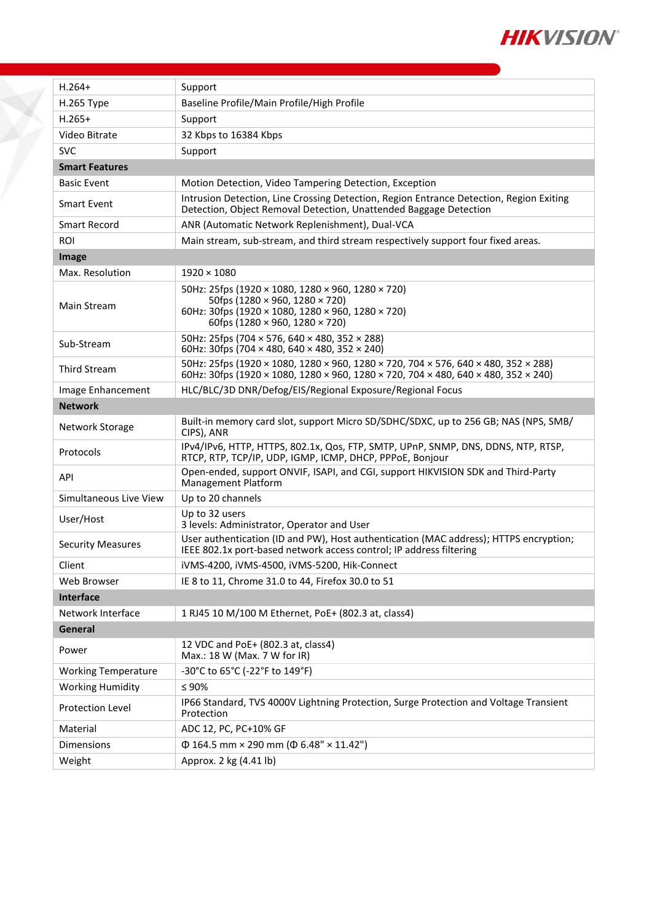

| $H.264+$                   | Support                                                                                                                                                                                  |  |  |  |  |
|----------------------------|------------------------------------------------------------------------------------------------------------------------------------------------------------------------------------------|--|--|--|--|
| H.265 Type                 | Baseline Profile/Main Profile/High Profile                                                                                                                                               |  |  |  |  |
| $H.265+$                   | Support                                                                                                                                                                                  |  |  |  |  |
| Video Bitrate              | 32 Kbps to 16384 Kbps                                                                                                                                                                    |  |  |  |  |
| <b>SVC</b>                 | Support                                                                                                                                                                                  |  |  |  |  |
| <b>Smart Features</b>      |                                                                                                                                                                                          |  |  |  |  |
| <b>Basic Event</b>         | Motion Detection, Video Tampering Detection, Exception                                                                                                                                   |  |  |  |  |
| Smart Event                | Intrusion Detection, Line Crossing Detection, Region Entrance Detection, Region Exiting<br>Detection, Object Removal Detection, Unattended Baggage Detection                             |  |  |  |  |
| Smart Record               | ANR (Automatic Network Replenishment), Dual-VCA                                                                                                                                          |  |  |  |  |
| <b>ROI</b>                 | Main stream, sub-stream, and third stream respectively support four fixed areas.                                                                                                         |  |  |  |  |
| Image                      |                                                                                                                                                                                          |  |  |  |  |
| Max. Resolution            | $1920 \times 1080$                                                                                                                                                                       |  |  |  |  |
| Main Stream                | 50Hz: 25fps (1920 × 1080, 1280 × 960, 1280 × 720)<br>50fps (1280 × 960, 1280 × 720)<br>60Hz: 30fps (1920 × 1080, 1280 × 960, 1280 × 720)<br>60fps (1280 $\times$ 960, 1280 $\times$ 720) |  |  |  |  |
| Sub-Stream                 | 50Hz: 25fps (704 × 576, 640 × 480, 352 × 288)<br>60Hz: 30fps (704 $\times$ 480, 640 $\times$ 480, 352 $\times$ 240)                                                                      |  |  |  |  |
| <b>Third Stream</b>        | 50Hz: 25fps (1920 × 1080, 1280 × 960, 1280 × 720, 704 × 576, 640 × 480, 352 × 288)<br>60Hz: 30fps (1920 × 1080, 1280 × 960, 1280 × 720, 704 × 480, 640 × 480, 352 × 240)                 |  |  |  |  |
| Image Enhancement          | HLC/BLC/3D DNR/Defog/EIS/Regional Exposure/Regional Focus                                                                                                                                |  |  |  |  |
| <b>Network</b>             |                                                                                                                                                                                          |  |  |  |  |
| Network Storage            | Built-in memory card slot, support Micro SD/SDHC/SDXC, up to 256 GB; NAS (NPS, SMB/<br>CIPS), ANR                                                                                        |  |  |  |  |
| Protocols                  | IPv4/IPv6, HTTP, HTTPS, 802.1x, Qos, FTP, SMTP, UPnP, SNMP, DNS, DDNS, NTP, RTSP,<br>RTCP, RTP, TCP/IP, UDP, IGMP, ICMP, DHCP, PPPoE, Bonjour                                            |  |  |  |  |
| API                        | Open-ended, support ONVIF, ISAPI, and CGI, support HIKVISION SDK and Third-Party<br>Management Platform                                                                                  |  |  |  |  |
| Simultaneous Live View     | Up to 20 channels                                                                                                                                                                        |  |  |  |  |
| User/Host                  | Up to 32 users<br>3 levels: Administrator, Operator and User                                                                                                                             |  |  |  |  |
| <b>Security Measures</b>   | User authentication (ID and PW), Host authentication (MAC address); HTTPS encryption;<br>IEEE 802.1x port-based network access control; IP address filtering                             |  |  |  |  |
| Client                     | iVMS-4200, iVMS-4500, iVMS-5200, Hik-Connect                                                                                                                                             |  |  |  |  |
| Web Browser                | IE 8 to 11, Chrome 31.0 to 44, Firefox 30.0 to 51                                                                                                                                        |  |  |  |  |
| Interface                  |                                                                                                                                                                                          |  |  |  |  |
| Network Interface          | 1 RJ45 10 M/100 M Ethernet, PoE+ (802.3 at, class4)                                                                                                                                      |  |  |  |  |
| <b>General</b>             |                                                                                                                                                                                          |  |  |  |  |
| Power                      | 12 VDC and PoE+ (802.3 at, class4)<br>Max.: 18 W (Max. 7 W for IR)                                                                                                                       |  |  |  |  |
| <b>Working Temperature</b> | -30°C to 65°C (-22°F to 149°F)                                                                                                                                                           |  |  |  |  |
| <b>Working Humidity</b>    | $\leq 90\%$                                                                                                                                                                              |  |  |  |  |
| Protection Level           | IP66 Standard, TVS 4000V Lightning Protection, Surge Protection and Voltage Transient<br>Protection                                                                                      |  |  |  |  |
| Material                   | ADC 12, PC, PC+10% GF                                                                                                                                                                    |  |  |  |  |
| <b>Dimensions</b>          | $\Phi$ 164.5 mm × 290 mm ( $\Phi$ 6.48" × 11.42")                                                                                                                                        |  |  |  |  |
| Weight                     | Approx. 2 kg (4.41 lb)                                                                                                                                                                   |  |  |  |  |

Ť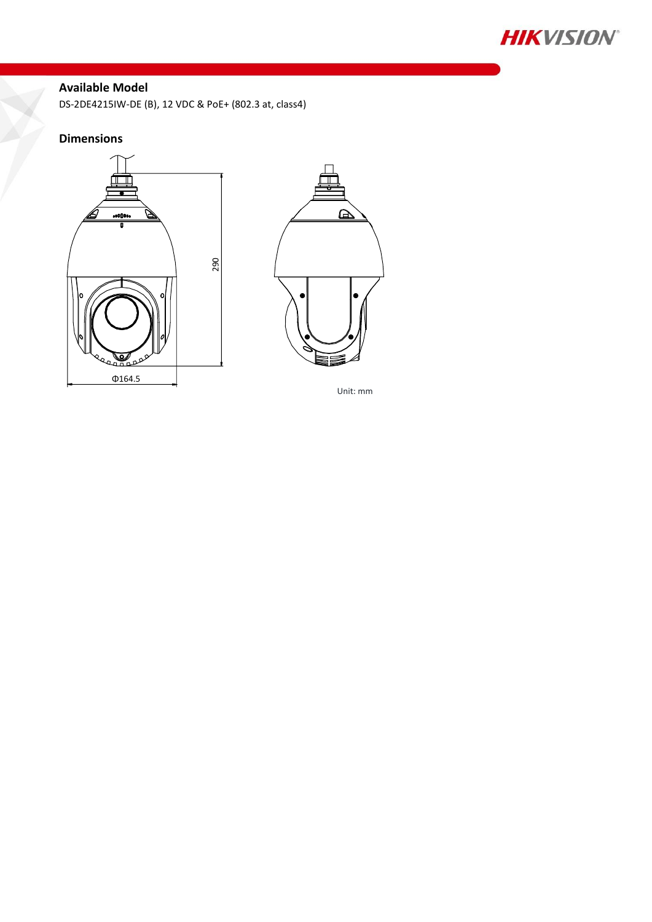

## **Available Model**

DS-2DE4215IW-DE (B), 12 VDC & PoE+ (802.3 at, class4)

### **Dimensions**





Unit: mm